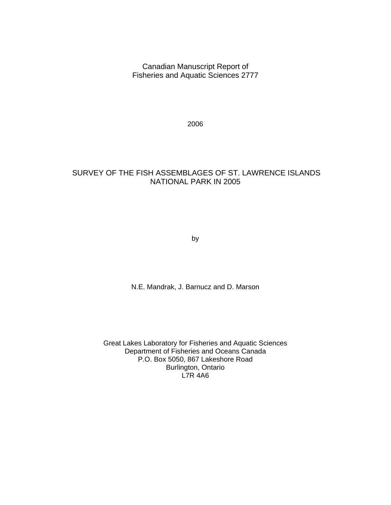Canadian Manuscript Report of Fisheries and Aquatic Sciences 2777

2006

## SURVEY OF THE FISH ASSEMBLAGES OF ST. LAWRENCE ISLANDS NATIONAL PARK IN 2005

by

N.E. Mandrak, J. Barnucz and D. Marson

Great Lakes Laboratory for Fisheries and Aquatic Sciences Department of Fisheries and Oceans Canada P.O. Box 5050, 867 Lakeshore Road Burlington, Ontario L7R 4A6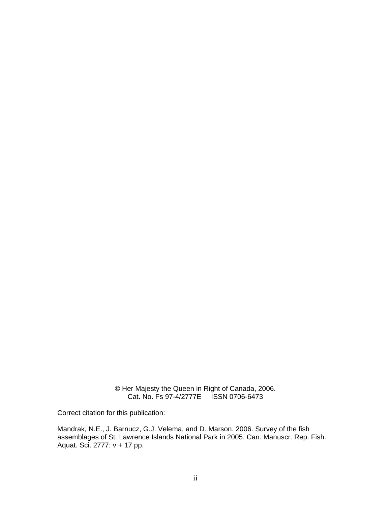© Her Majesty the Queen in Right of Canada, 2006. Cat. No. Fs 97-4/2777E ISSN 0706-6473

Correct citation for this publication:

Mandrak, N.E., J. Barnucz, G.J. Velema, and D. Marson. 2006. Survey of the fish assemblages of St. Lawrence Islands National Park in 2005. Can. Manuscr. Rep. Fish. Aquat. Sci. 2777: v + 17 pp.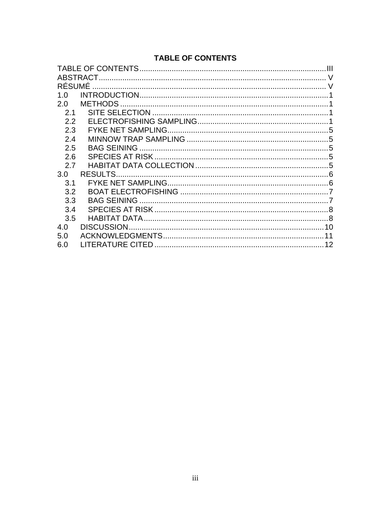# **TABLE OF CONTENTS**

|        | ABSTRACT.         |   |
|--------|-------------------|---|
| RÉSUMÉ |                   |   |
| 1.0    |                   |   |
| 2.0    |                   |   |
| 2.1    |                   |   |
| 2.2    |                   |   |
| 2.3    |                   | 5 |
| 2.4    |                   |   |
| 2.5    |                   |   |
| 2.6    |                   |   |
| 27     |                   |   |
| 3.0    |                   |   |
| 3.1    |                   |   |
| 3.2    |                   |   |
| 3.3    |                   |   |
| 3.4    |                   |   |
| 3.5    |                   |   |
| 4.0    | <b>DISCUSSION</b> |   |
| 5.0    |                   |   |
| 6.0    |                   |   |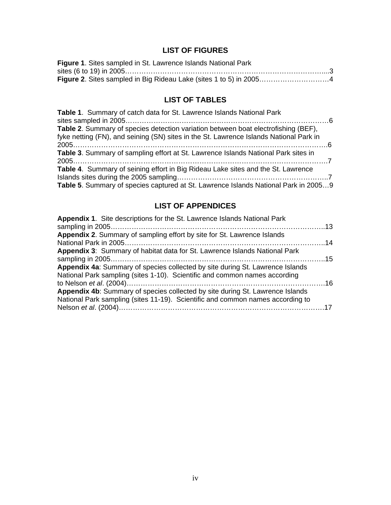# **LIST OF FIGURES**

| Figure 1. Sites sampled in St. Lawrence Islands National Park |  |
|---------------------------------------------------------------|--|
|                                                               |  |
|                                                               |  |

# **LIST OF TABLES**

| <b>Table 1.</b> Summary of catch data for St. Lawrence Islands National Park           |
|----------------------------------------------------------------------------------------|
|                                                                                        |
| Table 2. Summary of species detection variation between boat electrofishing (BEF),     |
| fyke netting (FN), and seining (SN) sites in the St. Lawrence Islands National Park in |
|                                                                                        |
| Table 3. Summary of sampling effort at St. Lawrence Islands National Park sites in     |
|                                                                                        |
| Table 4. Summary of seining effort in Big Rideau Lake sites and the St. Lawrence       |
|                                                                                        |
| Table 5. Summary of species captured at St. Lawrence Islands National Park in 20059    |

# **LIST OF APPENDICES**

| Appendix 1. Site descriptions for the St. Lawrence Islands National Park       |  |
|--------------------------------------------------------------------------------|--|
| Appendix 2. Summary of sampling effort by site for St. Lawrence Islands        |  |
| Appendix 3: Summary of habitat data for St. Lawrence Islands National Park     |  |
|                                                                                |  |
| Appendix 4a: Summary of species collected by site during St. Lawrence Islands  |  |
| National Park sampling (sites 1-10). Scientific and common names according     |  |
| Appendix 4b: Summary of species collected by site during St. Lawrence Islands  |  |
| National Park sampling (sites 11-19). Scientific and common names according to |  |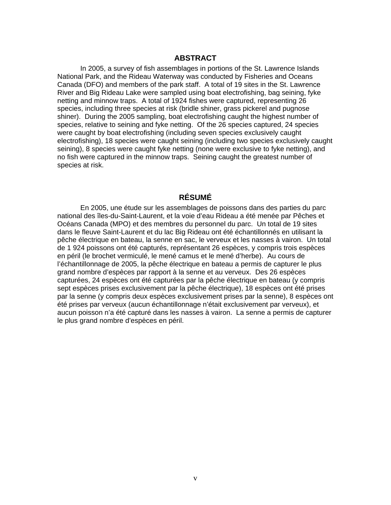## **ABSTRACT**

In 2005, a survey of fish assemblages in portions of the St. Lawrence Islands National Park, and the Rideau Waterway was conducted by Fisheries and Oceans Canada (DFO) and members of the park staff. A total of 19 sites in the St. Lawrence River and Big Rideau Lake were sampled using boat electrofishing, bag seining, fyke netting and minnow traps. A total of 1924 fishes were captured, representing 26 species, including three species at risk (bridle shiner, grass pickerel and pugnose shiner). During the 2005 sampling, boat electrofishing caught the highest number of species, relative to seining and fyke netting. Of the 26 species captured, 24 species were caught by boat electrofishing (including seven species exclusively caught electrofishing), 18 species were caught seining (including two species exclusively caught seining), 8 species were caught fyke netting (none were exclusive to fyke netting), and no fish were captured in the minnow traps. Seining caught the greatest number of species at risk.

## **RÉSUMÉ**

En 2005, une étude sur les assemblages de poissons dans des parties du parc national des îles-du-Saint-Laurent, et la voie d'eau Rideau a été menée par Pêches et Océans Canada (MPO) et des membres du personnel du parc. Un total de 19 sites dans le fleuve Saint-Laurent et du lac Big Rideau ont été échantillonnés en utilisant la pêche électrique en bateau, la senne en sac, le verveux et les nasses à vairon. Un total de 1 924 poissons ont été capturés, représentant 26 espèces, y compris trois espèces en péril (le brochet vermiculé, le mené camus et le mené d'herbe). Au cours de l'échantillonnage de 2005, la pêche électrique en bateau a permis de capturer le plus grand nombre d'espèces par rapport à la senne et au verveux. Des 26 espèces capturées, 24 espèces ont été capturées par la pêche électrique en bateau (y compris sept espèces prises exclusivement par la pêche électrique), 18 espèces ont été prises par la senne (y compris deux espèces exclusivement prises par la senne), 8 espèces ont été prises par verveux (aucun échantillonnage n'était exclusivement par verveux), et aucun poisson n'a été capturé dans les nasses à vairon. La senne a permis de capturer le plus grand nombre d'espèces en péril.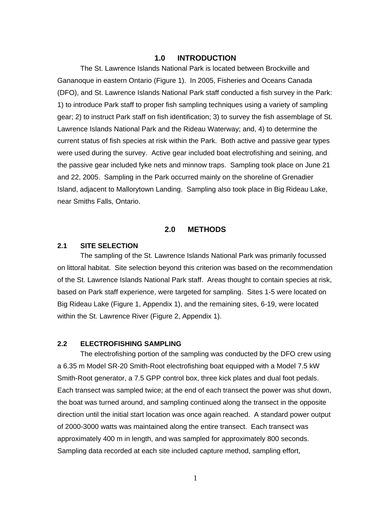### **1.0 INTRODUCTION**

The St. Lawrence Islands National Park is located between Brockville and Gananoque in eastern Ontario (Figure 1). In 2005, Fisheries and Oceans Canada (DFO), and St. Lawrence Islands National Park staff conducted a fish survey in the Park: 1) to introduce Park staff to proper fish sampling techniques using a variety of sampling gear; 2) to instruct Park staff on fish identification; 3) to survey the fish assemblage of St. Lawrence Islands National Park and the Rideau Waterway; and, 4) to determine the current status of fish species at risk within the Park. Both active and passive gear types were used during the survey. Active gear included boat electrofishing and seining, and the passive gear included fyke nets and minnow traps. Sampling took place on June 21 and 22, 2005. Sampling in the Park occurred mainly on the shoreline of Grenadier Island, adjacent to Mallorytown Landing. Sampling also took place in Big Rideau Lake, near Smiths Falls, Ontario.

## **2.0 METHODS**

### **2.1 SITE SELECTION**

The sampling of the St. Lawrence Islands National Park was primarily focussed on littoral habitat. Site selection beyond this criterion was based on the recommendation of the St. Lawrence Islands National Park staff. Areas thought to contain species at risk, based on Park staff experience, were targeted for sampling. Sites 1-5 were located on Big Rideau Lake (Figure 1, Appendix 1), and the remaining sites, 6-19, were located within the St. Lawrence River (Figure 2, Appendix 1).

#### **2.2 ELECTROFISHING SAMPLING**

The electrofishing portion of the sampling was conducted by the DFO crew using a 6.35 m Model SR-20 Smith-Root electrofishing boat equipped with a Model 7.5 kW Smith-Root generator, a 7.5 GPP control box, three kick plates and dual foot pedals. Each transect was sampled twice; at the end of each transect the power was shut down, the boat was turned around, and sampling continued along the transect in the opposite direction until the initial start location was once again reached. A standard power output of 2000-3000 watts was maintained along the entire transect. Each transect was approximately 400 m in length, and was sampled for approximately 800 seconds. Sampling data recorded at each site included capture method, sampling effort,

1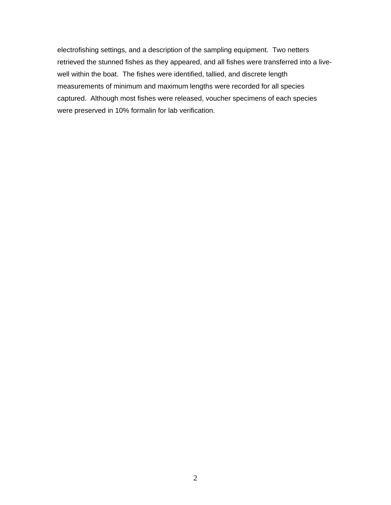electrofishing settings, and a description of the sampling equipment. Two netters retrieved the stunned fishes as they appeared, and all fishes were transferred into a livewell within the boat. The fishes were identified, tallied, and discrete length measurements of minimum and maximum lengths were recorded for all species captured. Although most fishes were released, voucher specimens of each species were preserved in 10% formalin for lab verification.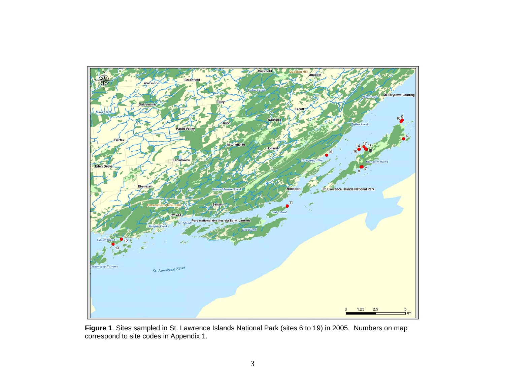

**Figure 1**. Sites sampled in St. Lawrence Islands National Park (sites 6 to 19) in 2005. Numbers on map correspond to site codes in Appendix 1.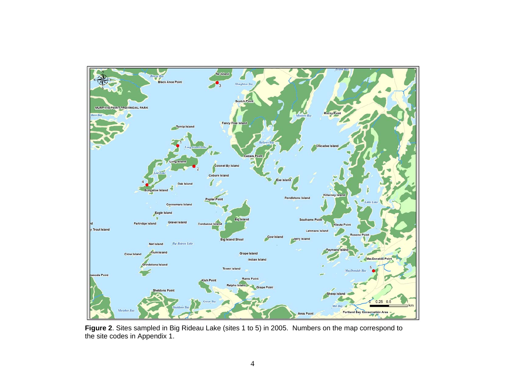

**Figure 2**. Sites sampled in Big Rideau Lake (sites 1 to 5) in 2005. Numbers on the map correspond to the site codes in Appendix 1.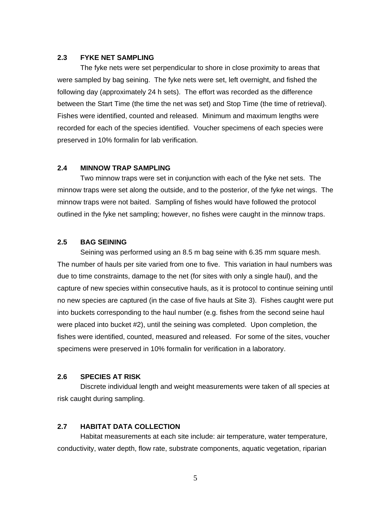#### **2.3 FYKE NET SAMPLING**

The fyke nets were set perpendicular to shore in close proximity to areas that were sampled by bag seining. The fyke nets were set, left overnight, and fished the following day (approximately 24 h sets). The effort was recorded as the difference between the Start Time (the time the net was set) and Stop Time (the time of retrieval). Fishes were identified, counted and released. Minimum and maximum lengths were recorded for each of the species identified. Voucher specimens of each species were preserved in 10% formalin for lab verification.

#### **2.4 MINNOW TRAP SAMPLING**

Two minnow traps were set in conjunction with each of the fyke net sets. The minnow traps were set along the outside, and to the posterior, of the fyke net wings. The minnow traps were not baited. Sampling of fishes would have followed the protocol outlined in the fyke net sampling; however, no fishes were caught in the minnow traps.

## **2.5 BAG SEINING**

Seining was performed using an 8.5 m bag seine with 6.35 mm square mesh. The number of hauls per site varied from one to five. This variation in haul numbers was due to time constraints, damage to the net (for sites with only a single haul), and the capture of new species within consecutive hauls, as it is protocol to continue seining until no new species are captured (in the case of five hauls at Site 3). Fishes caught were put into buckets corresponding to the haul number (e.g. fishes from the second seine haul were placed into bucket #2), until the seining was completed. Upon completion, the fishes were identified, counted, measured and released. For some of the sites, voucher specimens were preserved in 10% formalin for verification in a laboratory.

### **2.6 SPECIES AT RISK**

Discrete individual length and weight measurements were taken of all species at risk caught during sampling.

#### **2.7 HABITAT DATA COLLECTION**

Habitat measurements at each site include: air temperature, water temperature, conductivity, water depth, flow rate, substrate components, aquatic vegetation, riparian

5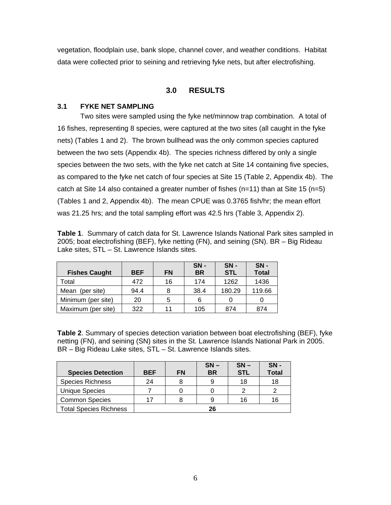vegetation, floodplain use, bank slope, channel cover, and weather conditions. Habitat data were collected prior to seining and retrieving fyke nets, but after electrofishing.

## **3.0 RESULTS**

## **3.1 FYKE NET SAMPLING**

Two sites were sampled using the fyke net/minnow trap combination. A total of 16 fishes, representing 8 species, were captured at the two sites (all caught in the fyke nets) (Tables 1 and 2). The brown bullhead was the only common species captured between the two sets (Appendix 4b). The species richness differed by only a single species between the two sets, with the fyke net catch at Site 14 containing five species, as compared to the fyke net catch of four species at Site 15 (Table 2, Appendix 4b). The catch at Site 14 also contained a greater number of fishes (n=11) than at Site 15 (n=5) (Tables 1 and 2, Appendix 4b). The mean CPUE was 0.3765 fish/hr; the mean effort was 21.25 hrs; and the total sampling effort was 42.5 hrs (Table 3, Appendix 2).

**Table 1**. Summary of catch data for St. Lawrence Islands National Park sites sampled in 2005; boat electrofishing (BEF), fyke netting (FN), and seining (SN). BR – Big Rideau Lake sites, STL – St. Lawrence Islands sites.

| <b>Fishes Caught</b> | <b>BEF</b> | <b>FN</b> | $SN -$<br><b>BR</b> | $SN -$<br><b>STL</b> | $SN -$<br><b>Total</b> |
|----------------------|------------|-----------|---------------------|----------------------|------------------------|
| Total                | 472        | 16        | 174                 | 1262                 | 1436                   |
| Mean (per site)      | 94.4       | 8         | 38.4                | 180.29               | 119.66                 |
| Minimum (per site)   | 20         | 5         | 6                   |                      |                        |
| Maximum (per site)   | 322        | 11        | 105                 | 874                  | 874                    |

**Table 2**. Summary of species detection variation between boat electrofishing (BEF), fyke netting (FN), and seining (SN) sites in the St. Lawrence Islands National Park in 2005. BR – Big Rideau Lake sites, STL – St. Lawrence Islands sites.

|                               |            |           | $SN -$    | $SN -$     | $SN -$       |
|-------------------------------|------------|-----------|-----------|------------|--------------|
| <b>Species Detection</b>      | <b>BEF</b> | <b>FN</b> | <b>BR</b> | <b>STL</b> | <b>Total</b> |
| <b>Species Richness</b>       | 24         |           |           | 18         | 18           |
| <b>Unique Species</b>         |            |           |           |            |              |
| <b>Common Species</b>         | 17         |           |           | 16         | 16           |
| <b>Total Species Richness</b> |            |           | 26        |            |              |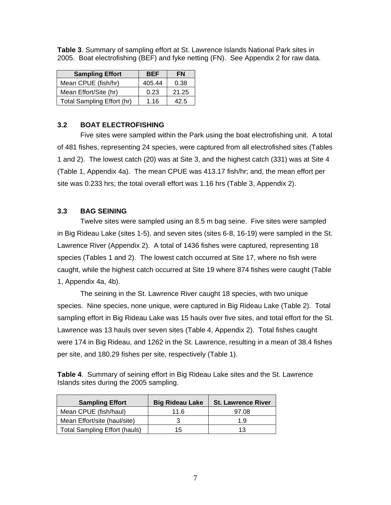| <b>Sampling Effort</b>     | <b>BEF</b> | <b>FN</b> |
|----------------------------|------------|-----------|
| Mean CPUE (fish/hr)        | 405.44     | 0.38      |
| Mean Effort/Site (hr)      | 0.23       | 21.25     |
| Total Sampling Effort (hr) | 1.16       | 42.5      |

**Table 3**. Summary of sampling effort at St. Lawrence Islands National Park sites in 2005. Boat electrofishing (BEF) and fyke netting (FN). See Appendix 2 for raw data.

## **3.2 BOAT ELECTROFISHING**

Five sites were sampled within the Park using the boat electrofishing unit. A total of 481 fishes, representing 24 species, were captured from all electrofished sites (Tables 1 and 2). The lowest catch (20) was at Site 3, and the highest catch (331) was at Site 4 (Table 1, Appendix 4a). The mean CPUE was 413.17 fish/hr; and, the mean effort per site was 0.233 hrs; the total overall effort was 1.16 hrs (Table 3, Appendix 2).

### **3.3 BAG SEINING**

Twelve sites were sampled using an 8.5 m bag seine. Five sites were sampled in Big Rideau Lake (sites 1-5), and seven sites (sites 6-8, 16-19) were sampled in the St. Lawrence River (Appendix 2). A total of 1436 fishes were captured, representing 18 species (Tables 1 and 2). The lowest catch occurred at Site 17, where no fish were caught, while the highest catch occurred at Site 19 where 874 fishes were caught (Table 1, Appendix 4a, 4b).

 The seining in the St. Lawrence River caught 18 species, with two unique species. Nine species, none unique, were captured in Big Rideau Lake (Table 2). Total sampling effort in Big Rideau Lake was 15 hauls over five sites, and total effort for the St. Lawrence was 13 hauls over seven sites (Table 4, Appendix 2). Total fishes caught were 174 in Big Rideau, and 1262 in the St. Lawrence, resulting in a mean of 38.4 fishes per site, and 180.29 fishes per site, respectively (Table 1).

**Table 4**. Summary of seining effort in Big Rideau Lake sites and the St. Lawrence Islands sites during the 2005 sampling.

| <b>Sampling Effort</b>               | <b>Big Rideau Lake</b> | <b>St. Lawrence River</b> |
|--------------------------------------|------------------------|---------------------------|
| Mean CPUE (fish/haul)                | 11.6                   | 97.08                     |
| Mean Effort/site (haul/site)         |                        | 19                        |
| <b>Total Sampling Effort (hauls)</b> | 15                     | 13                        |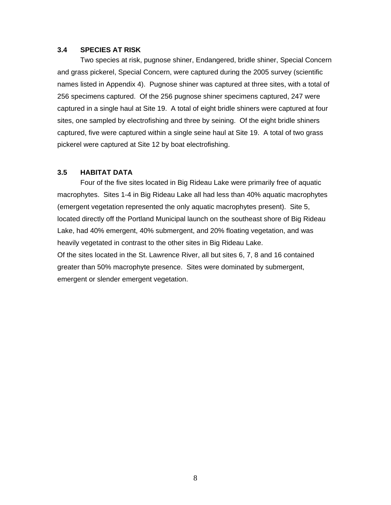### **3.4 SPECIES AT RISK**

Two species at risk, pugnose shiner, Endangered, bridle shiner, Special Concern and grass pickerel, Special Concern, were captured during the 2005 survey (scientific names listed in Appendix 4). Pugnose shiner was captured at three sites, with a total of 256 specimens captured. Of the 256 pugnose shiner specimens captured, 247 were captured in a single haul at Site 19. A total of eight bridle shiners were captured at four sites, one sampled by electrofishing and three by seining. Of the eight bridle shiners captured, five were captured within a single seine haul at Site 19. A total of two grass pickerel were captured at Site 12 by boat electrofishing.

## **3.5 HABITAT DATA**

Four of the five sites located in Big Rideau Lake were primarily free of aquatic macrophytes. Sites 1-4 in Big Rideau Lake all had less than 40% aquatic macrophytes (emergent vegetation represented the only aquatic macrophytes present). Site 5, located directly off the Portland Municipal launch on the southeast shore of Big Rideau Lake, had 40% emergent, 40% submergent, and 20% floating vegetation, and was heavily vegetated in contrast to the other sites in Big Rideau Lake. Of the sites located in the St. Lawrence River, all but sites 6, 7, 8 and 16 contained greater than 50% macrophyte presence. Sites were dominated by submergent, emergent or slender emergent vegetation.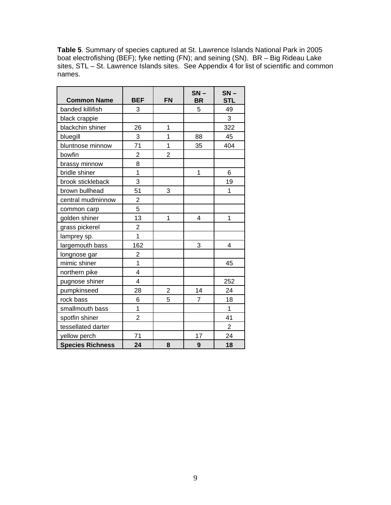**Table 5**. Summary of species captured at St. Lawrence Islands National Park in 2005 boat electrofishing (BEF); fyke netting (FN); and seining (SN). BR – Big Rideau Lake sites, STL – St. Lawrence Islands sites. See Appendix 4 for list of scientific and common names.

| <b>Common Name</b>      | <b>BEF</b>              | <b>FN</b>      | $SN -$<br><b>BR</b> | $SN -$<br><b>STL</b> |
|-------------------------|-------------------------|----------------|---------------------|----------------------|
| banded killifish        | 3                       |                | 5                   | 49                   |
| black crappie           |                         |                |                     | 3                    |
| blackchin shiner        | 26                      | 1              |                     | 322                  |
| bluegill                | 3                       | $\overline{1}$ | 88                  | 45                   |
| bluntnose minnow        | 71                      | 1              | 35                  | 404                  |
| bowfin                  | $\overline{2}$          | $\overline{2}$ |                     |                      |
| brassy minnow           | 8                       |                |                     |                      |
| bridle shiner           | $\overline{1}$          |                | 1                   | 6                    |
| brook stickleback       | 3                       |                |                     | 19                   |
| brown bullhead          | 51                      | 3              |                     | 1                    |
| central mudminnow       | $\overline{2}$          |                |                     |                      |
| common carp             | 5                       |                |                     |                      |
| golden shiner           | 13                      | 1              | 4                   | 1                    |
| grass pickerel          | $\overline{c}$          |                |                     |                      |
| lamprey sp.             | $\overline{1}$          |                |                     |                      |
| largemouth bass         | 162                     |                | 3                   | 4                    |
| longnose gar            | $\overline{\mathbf{c}}$ |                |                     |                      |
| mimic shiner            | $\overline{1}$          |                |                     | 45                   |
| northern pike           | 4                       |                |                     |                      |
| pugnose shiner          | $\overline{4}$          |                |                     | 252                  |
| pumpkinseed             | 28                      | $\overline{c}$ | 14                  | 24                   |
| rock bass               | 6                       | 5              | $\overline{7}$      | 18                   |
| smallmouth bass         | 1                       |                |                     | 1                    |
| spotfin shiner          | $\overline{2}$          |                |                     | 41                   |
| tessellated darter      |                         |                |                     | $\overline{2}$       |
| yellow perch            | 71                      |                | 17                  | 24                   |
| <b>Species Richness</b> | 24                      | 8              | 9                   | 18                   |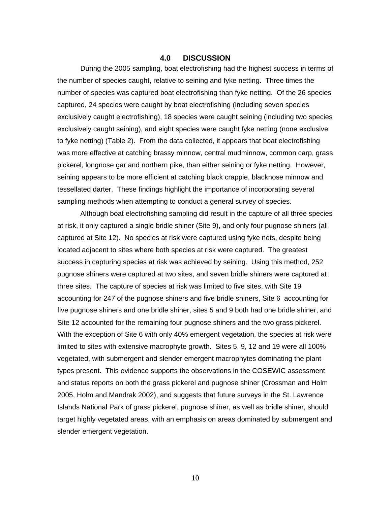### **4.0 DISCUSSION**

During the 2005 sampling, boat electrofishing had the highest success in terms of the number of species caught, relative to seining and fyke netting. Three times the number of species was captured boat electrofishing than fyke netting. Of the 26 species captured, 24 species were caught by boat electrofishing (including seven species exclusively caught electrofishing), 18 species were caught seining (including two species exclusively caught seining), and eight species were caught fyke netting (none exclusive to fyke netting) (Table 2). From the data collected, it appears that boat electrofishing was more effective at catching brassy minnow, central mudminnow, common carp, grass pickerel, longnose gar and northern pike, than either seining or fyke netting. However, seining appears to be more efficient at catching black crappie, blacknose minnow and tessellated darter. These findings highlight the importance of incorporating several sampling methods when attempting to conduct a general survey of species.

 Although boat electrofishing sampling did result in the capture of all three species at risk, it only captured a single bridle shiner (Site 9), and only four pugnose shiners (all captured at Site 12). No species at risk were captured using fyke nets, despite being located adjacent to sites where both species at risk were captured. The greatest success in capturing species at risk was achieved by seining. Using this method, 252 pugnose shiners were captured at two sites, and seven bridle shiners were captured at three sites. The capture of species at risk was limited to five sites, with Site 19 accounting for 247 of the pugnose shiners and five bridle shiners, Site 6 accounting for five pugnose shiners and one bridle shiner, sites 5 and 9 both had one bridle shiner, and Site 12 accounted for the remaining four pugnose shiners and the two grass pickerel. With the exception of Site 6 with only 40% emergent vegetation, the species at risk were limited to sites with extensive macrophyte growth. Sites 5, 9, 12 and 19 were all 100% vegetated, with submergent and slender emergent macrophytes dominating the plant types present. This evidence supports the observations in the COSEWIC assessment and status reports on both the grass pickerel and pugnose shiner (Crossman and Holm 2005, Holm and Mandrak 2002), and suggests that future surveys in the St. Lawrence Islands National Park of grass pickerel, pugnose shiner, as well as bridle shiner, should target highly vegetated areas, with an emphasis on areas dominated by submergent and slender emergent vegetation.

10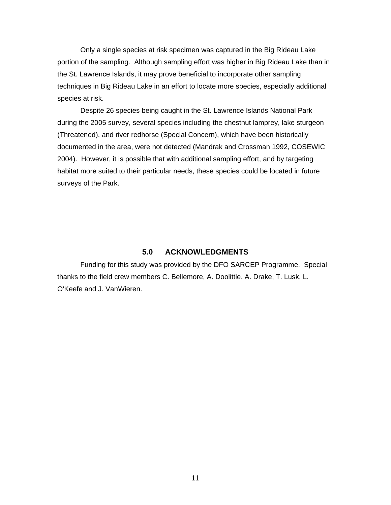Only a single species at risk specimen was captured in the Big Rideau Lake portion of the sampling. Although sampling effort was higher in Big Rideau Lake than in the St. Lawrence Islands, it may prove beneficial to incorporate other sampling techniques in Big Rideau Lake in an effort to locate more species, especially additional species at risk.

 Despite 26 species being caught in the St. Lawrence Islands National Park during the 2005 survey, several species including the chestnut lamprey, lake sturgeon (Threatened), and river redhorse (Special Concern), which have been historically documented in the area, were not detected (Mandrak and Crossman 1992, COSEWIC 2004). However, it is possible that with additional sampling effort, and by targeting habitat more suited to their particular needs, these species could be located in future surveys of the Park.

## **5.0 ACKNOWLEDGMENTS**

Funding for this study was provided by the DFO SARCEP Programme. Special thanks to the field crew members C. Bellemore, A. Doolittle, A. Drake, T. Lusk, L. O'Keefe and J. VanWieren.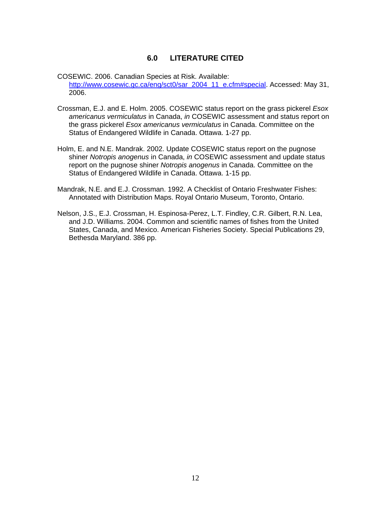## **6.0 LITERATURE CITED**

- COSEWIC. 2006. Canadian Species at Risk. Available: http://www.cosewic.gc.ca/eng/sct0/sar\_2004\_11\_e.cfm#special. Accessed: May 31, 2006.
- Crossman, E.J. and E. Holm. 2005. COSEWIC status report on the grass pickerel *Esox americanus vermiculatus* in Canada, *in* COSEWIC assessment and status report on the grass pickerel *Esox americanus vermiculatus* in Canada. Committee on the Status of Endangered Wildlife in Canada. Ottawa. 1-27 pp.
- Holm, E. and N.E. Mandrak. 2002. Update COSEWIC status report on the pugnose shiner *Notropis anogenus* in Canada, *in* COSEWIC assessment and update status report on the pugnose shiner *Notropis anogenus* in Canada. Committee on the Status of Endangered Wildlife in Canada. Ottawa. 1-15 pp.
- Mandrak, N.E. and E.J. Crossman. 1992. A Checklist of Ontario Freshwater Fishes: Annotated with Distribution Maps. Royal Ontario Museum, Toronto, Ontario.
- Nelson, J.S., E.J. Crossman, H. Espinosa-Perez, L.T. Findley, C.R. Gilbert, R.N. Lea, and J.D. Williams. 2004. Common and scientific names of fishes from the United States, Canada, and Mexico. American Fisheries Society. Special Publications 29, Bethesda Maryland. 386 pp.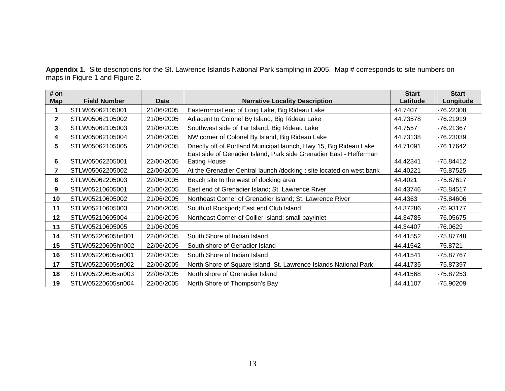**Appendix 1**. Site descriptions for the St. Lawrence Islands National Park sampling in 2005. Map # corresponds to site numbers on maps in Figure 1 and Figure 2.

| # on<br>Map    | <b>Field Number</b> | <b>Date</b> | <b>Narrative Locality Description</b>                                                     | <b>Start</b><br>Latitude | <b>Start</b><br>Longitude |
|----------------|---------------------|-------------|-------------------------------------------------------------------------------------------|--------------------------|---------------------------|
|                | STLW05062105001     | 21/06/2005  | Easternmost end of Long Lake, Big Rideau Lake                                             | 44.7407                  | $-76.22308$               |
| $\mathbf{2}$   | STLW05062105002     | 21/06/2005  | Adjacent to Colonel By Island, Big Rideau Lake                                            | 44.73578                 | $-76.21919$               |
| 3              | STLW05062105003     | 21/06/2005  | Southwest side of Tar Island, Big Rideau Lake                                             | 44.7557                  | -76.21367                 |
| 4              | STLW05062105004     | 21/06/2005  | NW corner of Colonel By Island, Big Rideau Lake                                           | 44.73138                 | -76.23039                 |
| 5              | STLW05062105005     | 21/06/2005  | Directly off of Portland Municipal launch, Hwy 15, Big Rideau Lake                        | 44.71091                 | $-76.17642$               |
| 6              | STLW05062205001     | 22/06/2005  | East side of Genadier Island, Park side Grenadier East - Hefferman<br><b>Eating House</b> | 44.42341                 | $-75.84412$               |
| $\overline{7}$ | STLW05062205002     | 22/06/2005  | At the Grenadier Central launch /docking ; site located on west bank                      | 44.40221                 | $-75.87525$               |
| 8              | STLW05062205003     | 22/06/2005  | Beach site to the west of docking area                                                    | 44.4021                  | $-75.87617$               |
| 9              | STLW05210605001     | 21/06/2005  | East end of Grenadier Island; St. Lawrence River                                          | 44.43746                 | $-75.84517$               |
| 10             | STLW05210605002     | 21/06/2005  | Northeast Corner of Grenadier Island; St. Lawrence River                                  | 44.4363                  | $-75.84606$               |
| 11             | STLW05210605003     | 21/06/2005  | South of Rockport; East end Club Island                                                   | 44.37286                 | -75.93177                 |
| 12             | STLW05210605004     | 21/06/2005  | Northeast Corner of Collier Island; small bay/inlet                                       | 44.34785                 | -76.05675                 |
| 13             | STLW05210605005     | 21/06/2005  |                                                                                           | 44.34407                 | $-76.0629$                |
| 14             | STLW05220605hn001   | 22/06/2005  | South Shore of Indian Island                                                              | 44.41552                 | $-75.87748$               |
| 15             | STLW05220605hn002   | 22/06/2005  | South shore of Genadier Island                                                            | 44.41542                 | $-75.8721$                |
| 16             | STLW05220605sn001   | 22/06/2005  | South Shore of Indian Island                                                              | 44.41541                 | -75.87767                 |
| 17             | STLW05220605sn002   | 22/06/2005  | North Shore of Square Island, St. Lawrence Islands National Park                          | 44.41735                 | -75.87397                 |
| 18             | STLW05220605sn003   | 22/06/2005  | North shore of Grenadier Island                                                           | 44.41568                 | $-75.87253$               |
| 19             | STLW05220605sn004   | 22/06/2005  | North Shore of Thompson's Bay                                                             | 44.41107                 | -75.90209                 |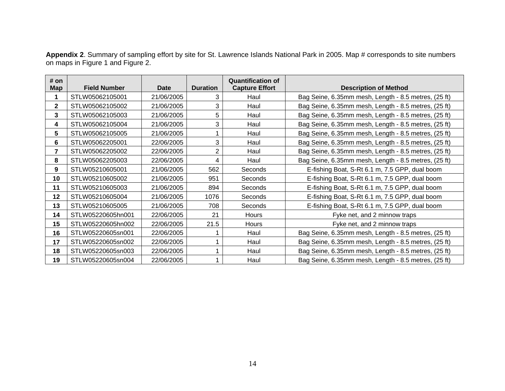|                                   |  | Appendix 2. Summary of sampling effort by site for St. Lawrence Islands National Park in 2005. Map # corresponds to site numbers |  |
|-----------------------------------|--|----------------------------------------------------------------------------------------------------------------------------------|--|
| on maps in Figure 1 and Figure 2. |  |                                                                                                                                  |  |

| # on       |                     |             |                 | <b>Quantification of</b> |                                                      |
|------------|---------------------|-------------|-----------------|--------------------------|------------------------------------------------------|
| <b>Map</b> | <b>Field Number</b> | <b>Date</b> | <b>Duration</b> | <b>Capture Effort</b>    | <b>Description of Method</b>                         |
|            | STLW05062105001     | 21/06/2005  | 3               | Haul                     | Bag Seine, 6.35mm mesh, Length - 8.5 metres, (25 ft) |
| 2          | STLW05062105002     | 21/06/2005  | 3               | Haul                     | Bag Seine, 6.35mm mesh, Length - 8.5 metres, (25 ft) |
| 3          | STLW05062105003     | 21/06/2005  | 5               | Haul                     | Bag Seine, 6.35mm mesh, Length - 8.5 metres, (25 ft) |
| 4          | STLW05062105004     | 21/06/2005  | 3               | Haul                     | Bag Seine, 6.35mm mesh, Length - 8.5 metres, (25 ft) |
| 5          | STLW05062105005     | 21/06/2005  |                 | Haul                     | Bag Seine, 6.35mm mesh, Length - 8.5 metres, (25 ft) |
| 6          | STLW05062205001     | 22/06/2005  | 3               | Haul                     | Bag Seine, 6.35mm mesh, Length - 8.5 metres, (25 ft) |
| 7          | STLW05062205002     | 22/06/2005  | 2               | Haul                     | Bag Seine, 6.35mm mesh, Length - 8.5 metres, (25 ft) |
| 8          | STLW05062205003     | 22/06/2005  | 4               | Haul                     | Bag Seine, 6.35mm mesh, Length - 8.5 metres, (25 ft) |
| 9          | STLW05210605001     | 21/06/2005  | 562             | Seconds                  | E-fishing Boat, S-Rt 6.1 m, 7.5 GPP, dual boom       |
| 10         | STLW05210605002     | 21/06/2005  | 951             | Seconds                  | E-fishing Boat, S-Rt 6.1 m, 7.5 GPP, dual boom       |
| 11         | STLW05210605003     | 21/06/2005  | 894             | Seconds                  | E-fishing Boat, S-Rt 6.1 m, 7.5 GPP, dual boom       |
| 12         | STLW05210605004     | 21/06/2005  | 1076            | Seconds                  | E-fishing Boat, S-Rt 6.1 m, 7.5 GPP, dual boom       |
| 13         | STLW05210605005     | 21/06/2005  | 708             | Seconds                  | E-fishing Boat, S-Rt 6.1 m, 7.5 GPP, dual boom       |
| 14         | STLW05220605hn001   | 22/06/2005  | 21              | Hours                    | Fyke net, and 2 minnow traps                         |
| 15         | STLW05220605hn002   | 22/06/2005  | 21.5            | Hours                    | Fyke net, and 2 minnow traps                         |
| 16         | STLW05220605sn001   | 22/06/2005  |                 | Haul                     | Bag Seine, 6.35mm mesh, Length - 8.5 metres, (25 ft) |
| 17         | STLW05220605sn002   | 22/06/2005  |                 | Haul                     | Bag Seine, 6.35mm mesh, Length - 8.5 metres, (25 ft) |
| 18         | STLW05220605sn003   | 22/06/2005  |                 | Haul                     | Bag Seine, 6.35mm mesh, Length - 8.5 metres, (25 ft) |
| 19         | STLW05220605sn004   | 22/06/2005  |                 | Haul                     | Bag Seine, 6.35mm mesh, Length - 8.5 metres, (25 ft) |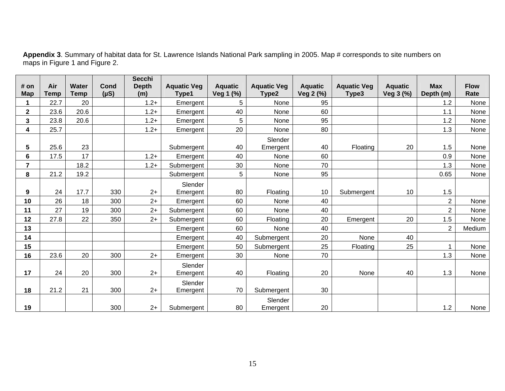| # on<br><b>Map</b> | Air<br><b>Temp</b> | Water<br><b>Temp</b> | Cond<br>$(\mu S)$ | <b>Secchi</b><br><b>Depth</b><br>(m) | <b>Aquatic Veg</b><br>Type1 | <b>Aquatic</b><br>Veg 1 (%) | <b>Aquatic Veg</b><br>Type2 | <b>Aquatic</b><br>Veg 2 (%) | <b>Aquatic Veg</b><br>Type3 | <b>Aquatic</b><br>Veg 3 (%) | <b>Max</b><br>Depth (m) | <b>Flow</b><br>Rate |
|--------------------|--------------------|----------------------|-------------------|--------------------------------------|-----------------------------|-----------------------------|-----------------------------|-----------------------------|-----------------------------|-----------------------------|-------------------------|---------------------|
| 1                  | 22.7               | 20                   |                   | $1.2+$                               | Emergent                    | 5                           | None                        | 95                          |                             |                             | 1.2                     | None                |
| $\overline{2}$     | 23.6               | 20.6                 |                   | $1.2 +$                              | Emergent                    | 40                          | None                        | 60                          |                             |                             | 1.1                     | None                |
| 3                  | 23.8               | 20.6                 |                   | $1.2+$                               | Emergent                    | 5                           | None                        | 95                          |                             |                             | 1.2                     | None                |
| 4                  | 25.7               |                      |                   | $1.2+$                               | Emergent                    | 20                          | None                        | 80                          |                             |                             | 1.3                     | None                |
| 5                  | 25.6               | 23                   |                   |                                      | Submergent                  | 40                          | Slender<br>Emergent         | 40                          | Floating                    | 20                          | 1.5                     | None                |
| 6                  | 17.5               | 17                   |                   | $1.2+$                               | Emergent                    | 40                          | None                        | 60                          |                             |                             | 0.9                     | None                |
| $\overline{7}$     |                    | 18.2                 |                   | $1.2 +$                              | Submergent                  | 30                          | None                        | 70                          |                             |                             | 1.3                     | None                |
| 8                  | 21.2               | 19.2                 |                   |                                      | Submergent                  | 5                           | None                        | 95                          |                             |                             | 0.65                    | None                |
| 9                  | 24                 | 17.7                 | 330               | $2+$                                 | Slender<br>Emergent         | 80                          | Floating                    | 10                          | Submergent                  | 10                          | 1.5                     |                     |
| 10                 | 26                 | 18                   | 300               | $2+$                                 | Emergent                    | 60                          | None                        | 40                          |                             |                             | $\overline{2}$          | None                |
| 11                 | 27                 | 19                   | 300               | $2+$                                 | Submergent                  | 60                          | None                        | 40                          |                             |                             | $\overline{2}$          | None                |
| 12                 | 27.8               | 22                   | 350               | $2+$                                 | Submergent                  | 60                          | Floating                    | 20                          | Emergent                    | 20                          | 1.5                     | None                |
| 13                 |                    |                      |                   |                                      | Emergent                    | 60                          | None                        | 40                          |                             |                             | $\overline{2}$          | Medium              |
| 14                 |                    |                      |                   |                                      | Emergent                    | 40                          | Submergent                  | 20                          | None                        | 40                          |                         |                     |
| 15                 |                    |                      |                   |                                      | Emergent                    | 50                          | Submergent                  | 25                          | Floating                    | 25                          | 1                       | None                |
| 16                 | 23.6               | 20                   | 300               | $2+$                                 | Emergent                    | 30                          | None                        | 70                          |                             |                             | 1.3                     | None                |
| 17                 | 24                 | 20                   | 300               | $2+$                                 | Slender<br>Emergent         | 40                          | Floating                    | 20                          | None                        | 40                          | 1.3                     | None                |
| 18                 | 21.2               | 21                   | 300               | $2+$                                 | Slender<br>Emergent         | 70                          | Submergent                  | 30                          |                             |                             |                         |                     |
| 19                 |                    |                      | 300               | $2+$                                 | Submergent                  | 80                          | Slender<br>Emergent         | 20                          |                             |                             | 1.2                     | None                |

**Appendix 3**. Summary of habitat data for St. Lawrence Islands National Park sampling in 2005. Map # corresponds to site numbers on maps in Figure 1 and Figure 2.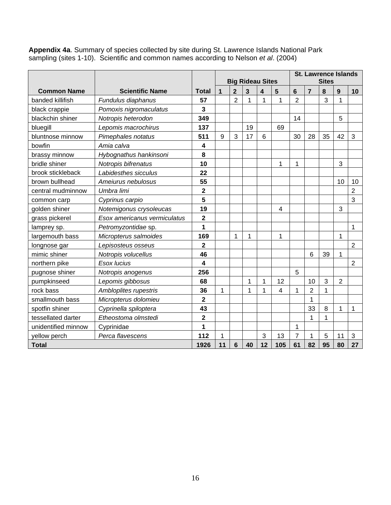**Appendix 4a**. Summary of species collected by site during St. Lawrence Islands National Park sampling (sites 1-10). Scientific and common names according to Nelson *et al*. (2004)

|                     |                              |                         |             |                         |    |                         |    |                | <b>St. Lawrence Islands</b> |    |                |                |  |
|---------------------|------------------------------|-------------------------|-------------|-------------------------|----|-------------------------|----|----------------|-----------------------------|----|----------------|----------------|--|
|                     |                              |                         |             | <b>Big Rideau Sites</b> |    |                         |    | <b>Sites</b>   |                             |    |                |                |  |
| <b>Common Name</b>  | <b>Scientific Name</b>       | <b>Total</b>            | $\mathbf 1$ | $\overline{2}$          | 3  | $\overline{\mathbf{4}}$ | 5  | 6              | $\overline{7}$              | 8  | 9              | 10             |  |
| banded killifish    | Fundulus diaphanus           | 57                      |             | $\overline{2}$          | 1  | 1                       | 1  | $\overline{2}$ |                             | 3  | 1              |                |  |
| black crappie       | Pomoxis nigromaculatus       | 3                       |             |                         |    |                         |    |                |                             |    |                |                |  |
| blackchin shiner    | Notropis heterodon           | 349                     |             |                         |    |                         |    | 14             |                             |    | 5              |                |  |
| bluegill            | Lepomis macrochirus          | 137                     |             |                         | 19 |                         | 69 |                |                             |    |                |                |  |
| bluntnose minnow    | Pimephales notatus           | 511                     | 9           | 3                       | 17 | 6                       |    | 30             | 28                          | 35 | 42             | 3              |  |
| bowfin              | Amia calva                   | 4                       |             |                         |    |                         |    |                |                             |    |                |                |  |
| brassy minnow       | Hybognathus hankinsoni       | 8                       |             |                         |    |                         |    |                |                             |    |                |                |  |
| bridle shiner       | Notropis bifrenatus          | 10                      |             |                         |    |                         | 1  | 1              |                             |    | 3              |                |  |
| brook stickleback   | Labidesthes sicculus         | 22                      |             |                         |    |                         |    |                |                             |    |                |                |  |
| brown bullhead      | Ameiurus nebulosus           | 55                      |             |                         |    |                         |    |                |                             |    | 10             | 10             |  |
| central mudminnow   | Umbra limi                   | $\overline{2}$          |             |                         |    |                         |    |                |                             |    |                | $\overline{2}$ |  |
| common carp         | Cyprinus carpio              | 5                       |             |                         |    |                         |    |                |                             |    |                | 3              |  |
| golden shiner       | Notemigonus crysoleucas      | 19                      |             |                         |    |                         | 4  |                |                             |    | 3              |                |  |
| grass pickerel      | Esox americanus vermiculatus | $\overline{\mathbf{2}}$ |             |                         |    |                         |    |                |                             |    |                |                |  |
| lamprey sp.         | Petromyzontidae sp.          | $\overline{\mathbf{1}}$ |             |                         |    |                         |    |                |                             |    |                | 1              |  |
| largemouth bass     | Micropterus salmoides        | 169                     |             | 1                       | 1  |                         | 1  |                |                             |    | 1              |                |  |
| longnose gar        | Lepisosteus osseus           | $\overline{\mathbf{2}}$ |             |                         |    |                         |    |                |                             |    |                | $\overline{2}$ |  |
| mimic shiner        | Notropis volucellus          | 46                      |             |                         |    |                         |    |                | 6                           | 39 | 1              |                |  |
| northern pike       | Esox lucius                  | $\overline{\mathbf{4}}$ |             |                         |    |                         |    |                |                             |    |                | $\overline{2}$ |  |
| pugnose shiner      | Notropis anogenus            | 256                     |             |                         |    |                         |    | 5              |                             |    |                |                |  |
| pumpkinseed         | Lepomis gibbosus             | 68                      |             |                         | 1  | 1                       | 12 |                | 10                          | 3  | $\overline{2}$ |                |  |
| rock bass           | Ambloplites rupestris        | 36                      | 1           |                         | 1  | 1                       | 4  | 1              | $\overline{2}$              | 1  |                |                |  |
| smallmouth bass     | Micropterus dolomieu         | $\overline{\mathbf{2}}$ |             |                         |    |                         |    |                | $\mathbf{1}$                |    |                |                |  |
| spotfin shiner      | Cyprinella spiloptera        | 43                      |             |                         |    |                         |    |                | 33                          | 8  | 1              | 1              |  |
| tessellated darter  | Etheostoma olmstedi          | $\overline{\mathbf{2}}$ |             |                         |    |                         |    |                | 1                           | 1  |                |                |  |
| unidentified minnow | Cyprinidae                   | 1                       |             |                         |    |                         |    | 1              |                             |    |                |                |  |
| yellow perch        | Perca flavescens             | 112                     | 1           |                         |    | 3                       | 13 | $\overline{7}$ | 1                           | 5  | 11             | 3              |  |
| <b>Total</b>        | 1926                         | 11                      | 6           | 40                      | 12 | 105                     | 61 | 82             | 95                          | 80 | 27             |                |  |